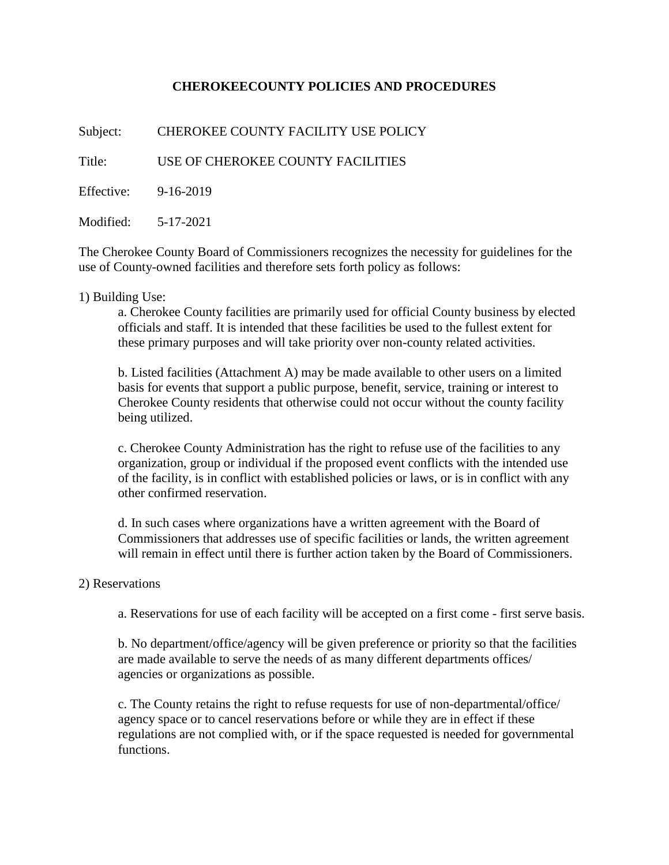## **CHEROKEECOUNTY POLICIES AND PROCEDURES**

Subject: CHEROKEE COUNTY FACILITY USE POLICY

Title: USE OF CHEROKEE COUNTY FACILITIES

Effective: 9-16-2019

Modified: 5-17-2021

The Cherokee County Board of Commissioners recognizes the necessity for guidelines for the use of County-owned facilities and therefore sets forth policy as follows:

### 1) Building Use:

a. Cherokee County facilities are primarily used for official County business by elected officials and staff. It is intended that these facilities be used to the fullest extent for these primary purposes and will take priority over non-county related activities.

b. Listed facilities (Attachment A) may be made available to other users on a limited basis for events that support a public purpose, benefit, service, training or interest to Cherokee County residents that otherwise could not occur without the county facility being utilized.

c. Cherokee County Administration has the right to refuse use of the facilities to any organization, group or individual if the proposed event conflicts with the intended use of the facility, is in conflict with established policies or laws, or is in conflict with any other confirmed reservation.

d. In such cases where organizations have a written agreement with the Board of Commissioners that addresses use of specific facilities or lands, the written agreement will remain in effect until there is further action taken by the Board of Commissioners.

### 2) Reservations

a. Reservations for use of each facility will be accepted on a first come - first serve basis.

b. No department/office/agency will be given preference or priority so that the facilities are made available to serve the needs of as many different departments offices/ agencies or organizations as possible.

c. The County retains the right to refuse requests for use of non-departmental/office/ agency space or to cancel reservations before or while they are in effect if these regulations are not complied with, or if the space requested is needed for governmental functions.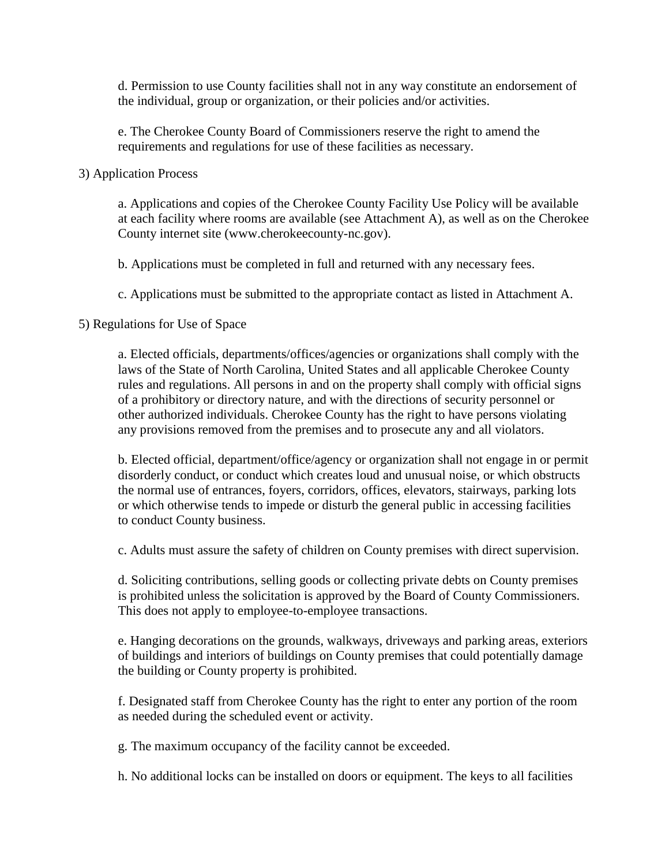d. Permission to use County facilities shall not in any way constitute an endorsement of the individual, group or organization, or their policies and/or activities.

e. The Cherokee County Board of Commissioners reserve the right to amend the requirements and regulations for use of these facilities as necessary.

### 3) Application Process

a. Applications and copies of the Cherokee County Facility Use Policy will be available at each facility where rooms are available (see Attachment A), as well as on the Cherokee County internet site (www.cherokeecounty-nc.gov).

b. Applications must be completed in full and returned with any necessary fees.

c. Applications must be submitted to the appropriate contact as listed in Attachment A.

### 5) Regulations for Use of Space

a. Elected officials, departments/offices/agencies or organizations shall comply with the laws of the State of North Carolina, United States and all applicable Cherokee County rules and regulations. All persons in and on the property shall comply with official signs of a prohibitory or directory nature, and with the directions of security personnel or other authorized individuals. Cherokee County has the right to have persons violating any provisions removed from the premises and to prosecute any and all violators.

b. Elected official, department/office/agency or organization shall not engage in or permit disorderly conduct, or conduct which creates loud and unusual noise, or which obstructs the normal use of entrances, foyers, corridors, offices, elevators, stairways, parking lots or which otherwise tends to impede or disturb the general public in accessing facilities to conduct County business.

c. Adults must assure the safety of children on County premises with direct supervision.

d. Soliciting contributions, selling goods or collecting private debts on County premises is prohibited unless the solicitation is approved by the Board of County Commissioners. This does not apply to employee-to-employee transactions.

e. Hanging decorations on the grounds, walkways, driveways and parking areas, exteriors of buildings and interiors of buildings on County premises that could potentially damage the building or County property is prohibited.

f. Designated staff from Cherokee County has the right to enter any portion of the room as needed during the scheduled event or activity.

g. The maximum occupancy of the facility cannot be exceeded.

h. No additional locks can be installed on doors or equipment. The keys to all facilities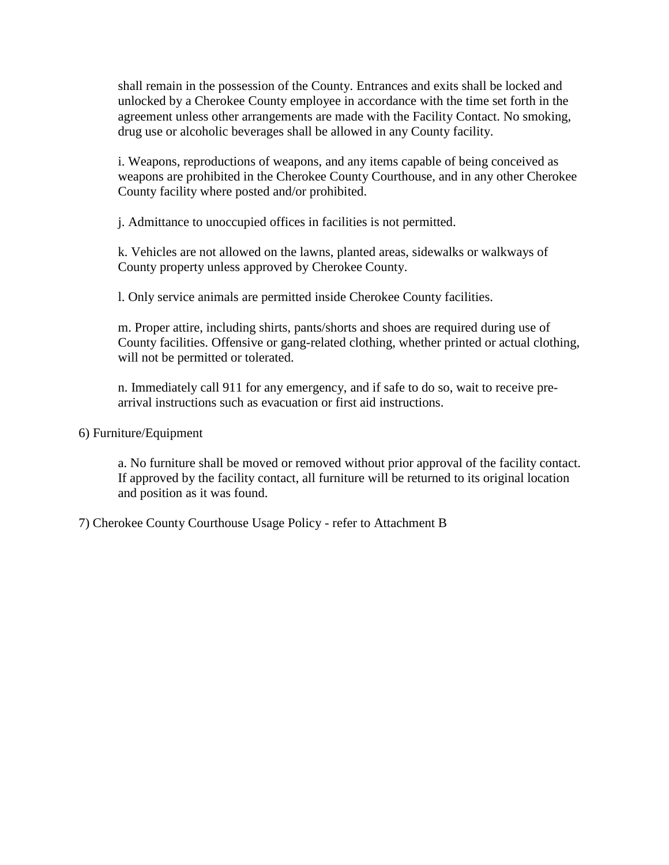shall remain in the possession of the County. Entrances and exits shall be locked and unlocked by a Cherokee County employee in accordance with the time set forth in the agreement unless other arrangements are made with the Facility Contact. No smoking, drug use or alcoholic beverages shall be allowed in any County facility.

i. Weapons, reproductions of weapons, and any items capable of being conceived as weapons are prohibited in the Cherokee County Courthouse, and in any other Cherokee County facility where posted and/or prohibited.

j. Admittance to unoccupied offices in facilities is not permitted.

k. Vehicles are not allowed on the lawns, planted areas, sidewalks or walkways of County property unless approved by Cherokee County.

l. Only service animals are permitted inside Cherokee County facilities.

m. Proper attire, including shirts, pants/shorts and shoes are required during use of County facilities. Offensive or gang-related clothing, whether printed or actual clothing, will not be permitted or tolerated.

n. Immediately call 911 for any emergency, and if safe to do so, wait to receive prearrival instructions such as evacuation or first aid instructions.

6) Furniture/Equipment

a. No furniture shall be moved or removed without prior approval of the facility contact. If approved by the facility contact, all furniture will be returned to its original location and position as it was found.

7) Cherokee County Courthouse Usage Policy - refer to Attachment B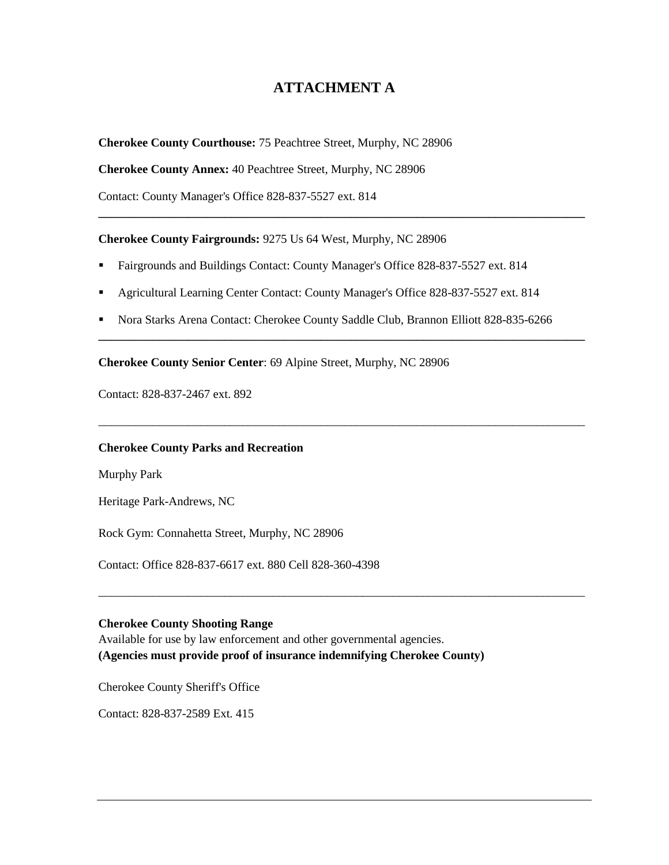# **ATTACHMENT A**

**\_\_\_\_\_\_\_\_\_\_\_\_\_\_\_\_\_\_\_\_\_\_\_\_\_\_\_\_\_\_\_\_\_\_\_\_\_\_\_\_\_\_\_\_\_\_\_\_\_\_\_\_\_\_\_\_\_\_\_\_\_\_\_\_\_\_\_\_\_\_\_\_\_\_\_\_\_\_\_\_\_**

**Cherokee County Courthouse:** 75 Peachtree Street, Murphy, NC 28906

**Cherokee County Annex:** 40 Peachtree Street, Murphy, NC 28906

Contact: County Manager's Office 828-837-5527 ext. 814

**Cherokee County Fairgrounds:** 9275 Us 64 West, Murphy, NC 28906

- Fairgrounds and Buildings Contact: County Manager's Office 828-837-5527 ext. 814
- Agricultural Learning Center Contact: County Manager's Office 828-837-5527 ext. 814
- Nora Starks Arena Contact: Cherokee County Saddle Club, Brannon Elliott 828-835-6266

**\_\_\_\_\_\_\_\_\_\_\_\_\_\_\_\_\_\_\_\_\_\_\_\_\_\_\_\_\_\_\_\_\_\_\_\_\_\_\_\_\_\_\_\_\_\_\_\_\_\_\_\_\_\_\_\_\_\_\_\_\_\_\_\_\_\_\_\_\_\_\_\_\_\_\_\_\_\_\_\_\_**

\_\_\_\_\_\_\_\_\_\_\_\_\_\_\_\_\_\_\_\_\_\_\_\_\_\_\_\_\_\_\_\_\_\_\_\_\_\_\_\_\_\_\_\_\_\_\_\_\_\_\_\_\_\_\_\_\_\_\_\_\_\_\_\_\_\_\_\_\_\_\_\_\_\_\_\_\_\_\_\_\_

\_\_\_\_\_\_\_\_\_\_\_\_\_\_\_\_\_\_\_\_\_\_\_\_\_\_\_\_\_\_\_\_\_\_\_\_\_\_\_\_\_\_\_\_\_\_\_\_\_\_\_\_\_\_\_\_\_\_\_\_\_\_\_\_\_\_\_\_\_\_\_\_\_\_\_\_\_\_\_\_\_

**Cherokee County Senior Center**: 69 Alpine Street, Murphy, NC 28906

Contact: 828-837-2467 ext. 892

#### **Cherokee County Parks and Recreation**

Murphy Park

Heritage Park-Andrews, NC

Rock Gym: Connahetta Street, Murphy, NC 28906

Contact: Office 828-837-6617 ext. 880 Cell 828-360-4398

#### **Cherokee County Shooting Range**

Available for use by law enforcement and other governmental agencies. **(Agencies must provide proof of insurance indemnifying Cherokee County)** 

Cherokee County Sheriff's Office

Contact: 828-837-2589 Ext. 415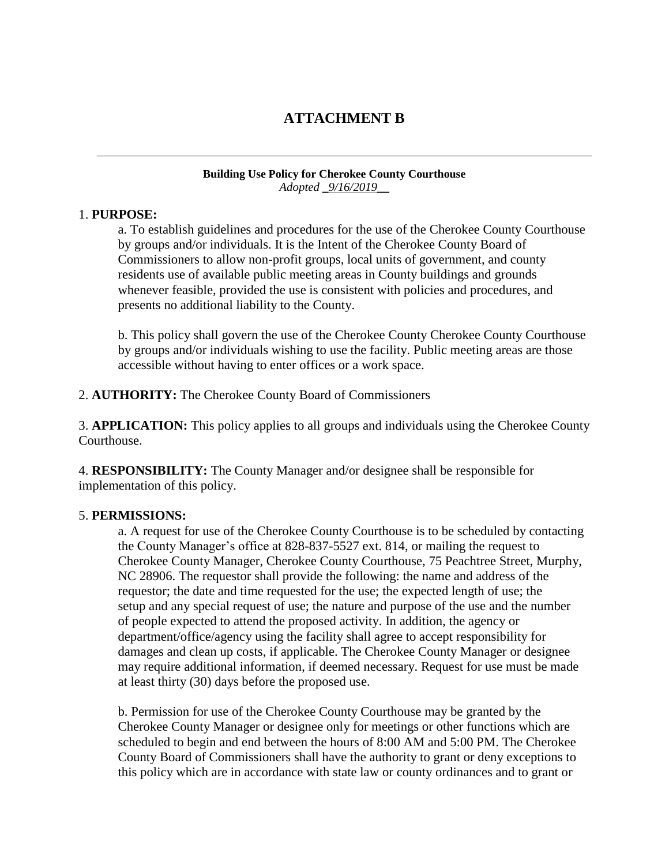# **ATTACHMENT B**

#### **Building Use Policy for Cherokee County Courthouse** *Adopted \_9/16/2019\_\_*

### 1. **PURPOSE:**

a. To establish guidelines and procedures for the use of the Cherokee County Courthouse by groups and/or individuals. It is the Intent of the Cherokee County Board of Commissioners to allow non-profit groups, local units of government, and county residents use of available public meeting areas in County buildings and grounds whenever feasible, provided the use is consistent with policies and procedures, and presents no additional liability to the County.

b. This policy shall govern the use of the Cherokee County Cherokee County Courthouse by groups and/or individuals wishing to use the facility. Public meeting areas are those accessible without having to enter offices or a work space.

### 2. **AUTHORITY:** The Cherokee County Board of Commissioners

3. **APPLICATION:** This policy applies to all groups and individuals using the Cherokee County Courthouse.

4. **RESPONSIBILITY:** The County Manager and/or designee shall be responsible for implementation of this policy.

#### 5. **PERMISSIONS:**

a. A request for use of the Cherokee County Courthouse is to be scheduled by contacting the County Manager's office at 828-837-5527 ext. 814, or mailing the request to Cherokee County Manager, Cherokee County Courthouse, 75 Peachtree Street, Murphy, NC 28906. The requestor shall provide the following: the name and address of the requestor; the date and time requested for the use; the expected length of use; the setup and any special request of use; the nature and purpose of the use and the number of people expected to attend the proposed activity. In addition, the agency or department/office/agency using the facility shall agree to accept responsibility for damages and clean up costs, if applicable. The Cherokee County Manager or designee may require additional information, if deemed necessary. Request for use must be made at least thirty (30) days before the proposed use.

b. Permission for use of the Cherokee County Courthouse may be granted by the Cherokee County Manager or designee only for meetings or other functions which are scheduled to begin and end between the hours of 8:00 AM and 5:00 PM. The Cherokee County Board of Commissioners shall have the authority to grant or deny exceptions to this policy which are in accordance with state law or county ordinances and to grant or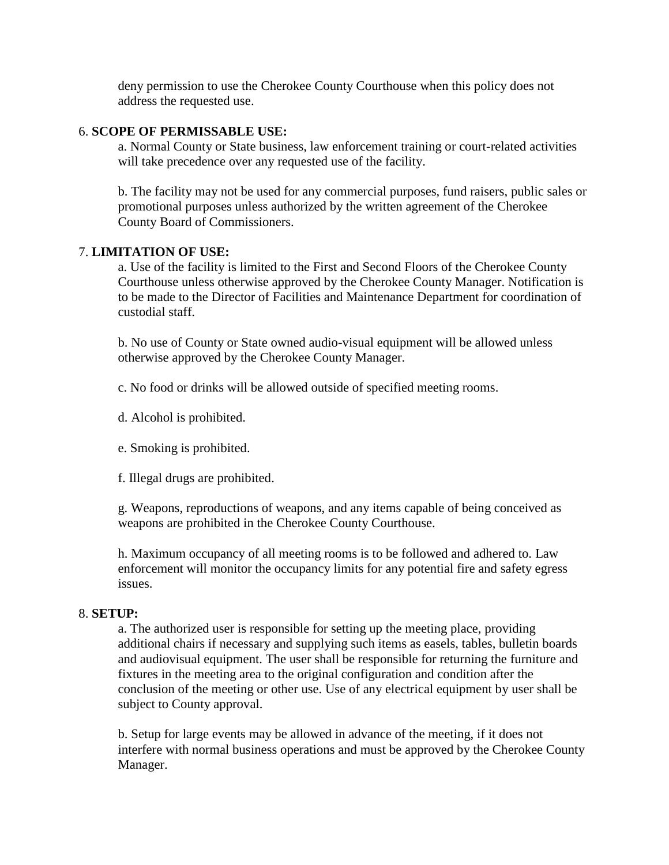deny permission to use the Cherokee County Courthouse when this policy does not address the requested use.

### 6. **SCOPE OF PERMISSABLE USE:**

a. Normal County or State business, law enforcement training or court-related activities will take precedence over any requested use of the facility.

b. The facility may not be used for any commercial purposes, fund raisers, public sales or promotional purposes unless authorized by the written agreement of the Cherokee County Board of Commissioners.

### 7. **LIMITATION OF USE:**

a. Use of the facility is limited to the First and Second Floors of the Cherokee County Courthouse unless otherwise approved by the Cherokee County Manager. Notification is to be made to the Director of Facilities and Maintenance Department for coordination of custodial staff.

b. No use of County or State owned audio-visual equipment will be allowed unless otherwise approved by the Cherokee County Manager.

c. No food or drinks will be allowed outside of specified meeting rooms.

d. Alcohol is prohibited.

e. Smoking is prohibited.

f. Illegal drugs are prohibited.

g. Weapons, reproductions of weapons, and any items capable of being conceived as weapons are prohibited in the Cherokee County Courthouse.

h. Maximum occupancy of all meeting rooms is to be followed and adhered to. Law enforcement will monitor the occupancy limits for any potential fire and safety egress issues.

### 8. **SETUP:**

a. The authorized user is responsible for setting up the meeting place, providing additional chairs if necessary and supplying such items as easels, tables, bulletin boards and audiovisual equipment. The user shall be responsible for returning the furniture and fixtures in the meeting area to the original configuration and condition after the conclusion of the meeting or other use. Use of any electrical equipment by user shall be subject to County approval.

b. Setup for large events may be allowed in advance of the meeting, if it does not interfere with normal business operations and must be approved by the Cherokee County Manager.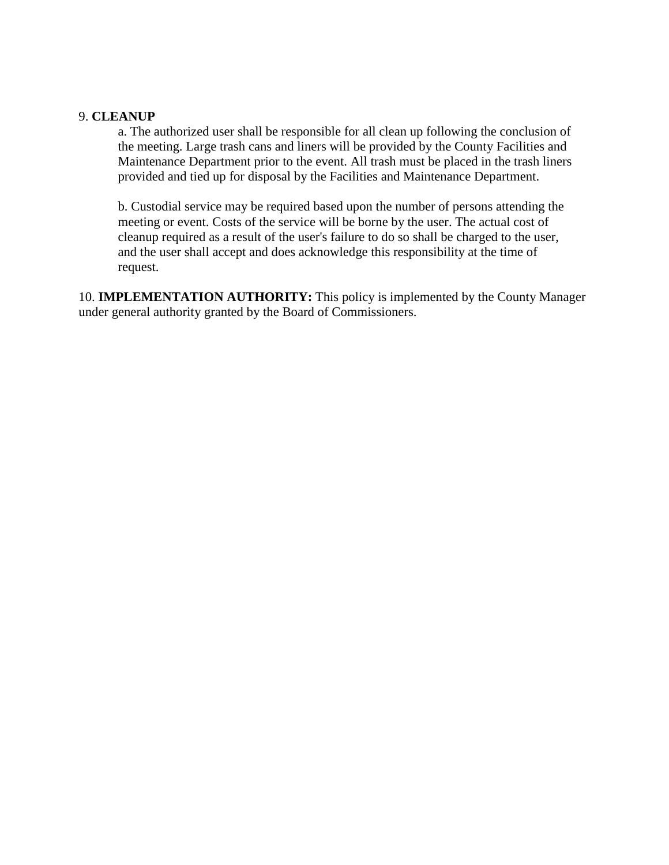### 9. **CLEANUP**

a. The authorized user shall be responsible for all clean up following the conclusion of the meeting. Large trash cans and liners will be provided by the County Facilities and Maintenance Department prior to the event. All trash must be placed in the trash liners provided and tied up for disposal by the Facilities and Maintenance Department.

b. Custodial service may be required based upon the number of persons attending the meeting or event. Costs of the service will be borne by the user. The actual cost of cleanup required as a result of the user's failure to do so shall be charged to the user, and the user shall accept and does acknowledge this responsibility at the time of request.

10. **IMPLEMENTATION AUTHORITY:** This policy is implemented by the County Manager under general authority granted by the Board of Commissioners.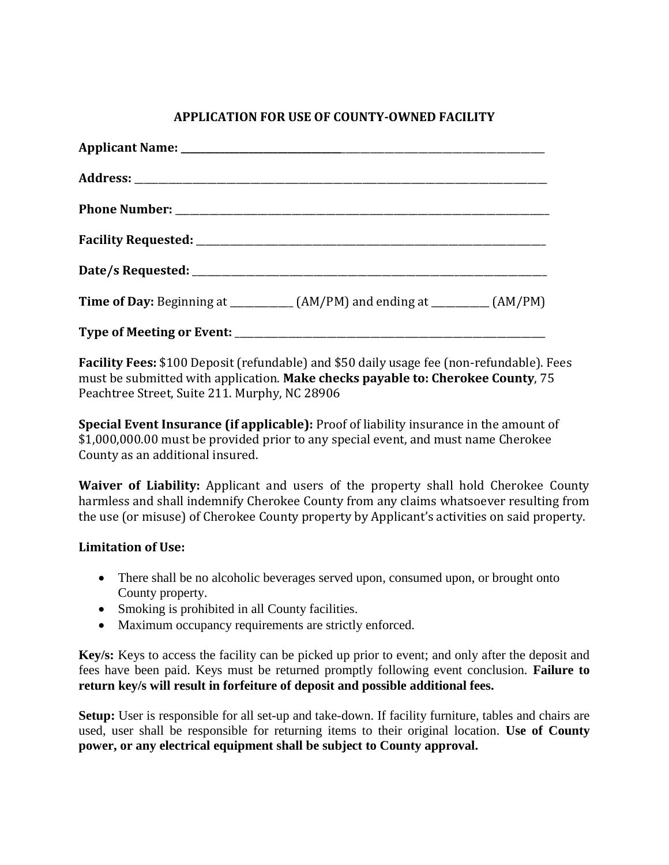## **APPLICATION FOR USE OF COUNTY-OWNED FACILITY**

| <b>Time of Day:</b> Beginning at _____________(AM/PM) and ending at _________(AM/PM) |  |
|--------------------------------------------------------------------------------------|--|
|                                                                                      |  |

**Facility Fees:** \$100 Deposit (refundable) and \$50 daily usage fee (non-refundable). Fees must be submitted with application. **Make checks payable to: Cherokee County**, 75 Peachtree Street, Suite 211. Murphy, NC 28906

**Special Event Insurance (if applicable):** Proof of liability insurance in the amount of \$1,000,000.00 must be provided prior to any special event, and must name Cherokee County as an additional insured.

**Waiver of Liability:** Applicant and users of the property shall hold Cherokee County harmless and shall indemnify Cherokee County from any claims whatsoever resulting from the use (or misuse) of Cherokee County property by Applicant's activities on said property.

## **Limitation of Use:**

- There shall be no alcoholic beverages served upon, consumed upon, or brought onto County property.
- Smoking is prohibited in all County facilities.
- Maximum occupancy requirements are strictly enforced.

**Key/s:** Keys to access the facility can be picked up prior to event; and only after the deposit and fees have been paid. Keys must be returned promptly following event conclusion. **Failure to return key/s will result in forfeiture of deposit and possible additional fees.**

**Setup:** User is responsible for all set-up and take-down. If facility furniture, tables and chairs are used, user shall be responsible for returning items to their original location. **Use of County power, or any electrical equipment shall be subject to County approval.**